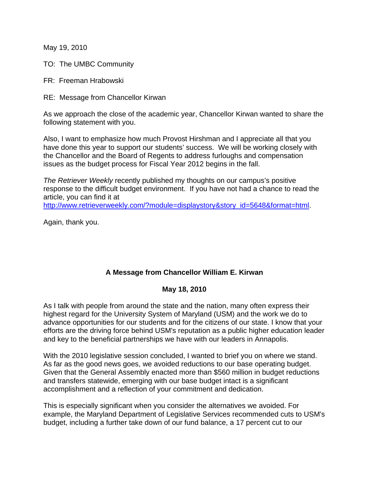May 19, 2010

TO: The UMBC Community

FR: Freeman Hrabowski

RE: Message from Chancellor Kirwan

As we approach the close of the academic year, Chancellor Kirwan wanted to share the following statement with you.

Also, I want to emphasize how much Provost Hirshman and I appreciate all that you have done this year to support our students' success. We will be working closely with the Chancellor and the Board of Regents to address furloughs and compensation issues as the budget process for Fiscal Year 2012 begins in the fall.

*The Retriever Weekly* recently published my thoughts on our campus's positive response to the difficult budget environment. If you have not had a chance to read the article, you can find it at

http://www.retrieverweekly.com/?module=displaystory&story\_id=5648&format=html.

Again, thank you.

## **A Message from Chancellor William E. Kirwan**

## **May 18, 2010**

As I talk with people from around the state and the nation, many often express their highest regard for the University System of Maryland (USM) and the work we do to advance opportunities for our students and for the citizens of our state. I know that your efforts are the driving force behind USM's reputation as a public higher education leader and key to the beneficial partnerships we have with our leaders in Annapolis.

With the 2010 legislative session concluded, I wanted to brief you on where we stand. As far as the good news goes, we avoided reductions to our base operating budget. Given that the General Assembly enacted more than \$560 million in budget reductions and transfers statewide, emerging with our base budget intact is a significant accomplishment and a reflection of your commitment and dedication.

This is especially significant when you consider the alternatives we avoided. For example, the Maryland Department of Legislative Services recommended cuts to USM's budget, including a further take down of our fund balance, a 17 percent cut to our